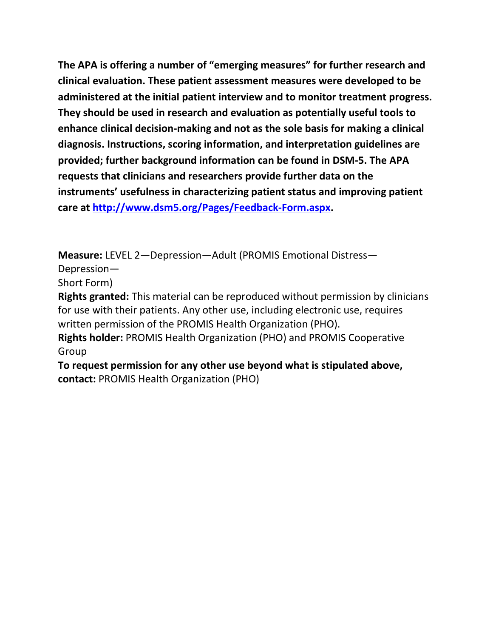**The APA is offering a number of "emerging measures" for further research and clinical evaluation. These patient assessment measures were developed to be administered at the initial patient interview and to monitor treatment progress. They should be used in research and evaluation as potentially useful tools to enhance clinical decision-making and not as the sole basis for making a clinical diagnosis. Instructions, scoring information, and interpretation guidelines are provided; further background information can be found in DSM-5. The APA requests that clinicians and researchers provide further data on the instruments' usefulness in characterizing patient status and improving patient care at [http://www.dsm5.org/Pages/Feedback-Form.aspx.](http://www.dsm5.org/Pages/Feedback-Form.aspx)**

**Measure:** LEVEL 2—Depression—Adult (PROMIS Emotional Distress—

Depression—

Short Form)

**Rights granted:** This material can be reproduced without permission by clinicians for use with their patients. Any other use, including electronic use, requires written permission of the PROMIS Health Organization (PHO).

**Rights holder:** PROMIS Health Organization (PHO) and PROMIS Cooperative Group

**To request permission for any other use beyond what is stipulated above, contact:** PROMIS Health Organization (PHO)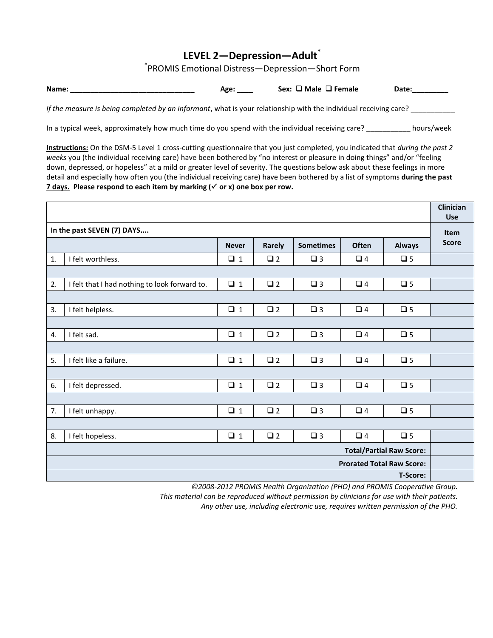## **LEVEL 2—Depression—Adult\***

\* PROMIS Emotional Distress—Depression—Short Form

**Name: \_\_\_\_\_\_\_\_\_\_\_\_\_\_\_\_\_\_\_\_\_\_\_\_\_\_\_\_\_\_\_\_** Age: \_\_\_\_ Sex: □ Male □ Female Date:\_\_\_\_\_\_\_\_

*If the measure is being completed by an informant*, what is your relationship with the individual receiving care?

In a typical week, approximately how much time do you spend with the individual receiving care? \_\_\_\_\_\_\_\_\_\_\_ hours/week

**Instructions:** On the DSM-5 Level 1 cross-cutting questionnaire that you just completed, you indicated that *during the past 2 weeks* you (the individual receiving care) have been bothered by "no interest or pleasure in doing things" and/or "feeling down, depressed, or hopeless" at a mild or greater level of severity. The questions below ask about these feelings in more detail and especially how often you (the individual receiving care) have been bothered by a list of symptoms **during the past 7 days.** Please respond to each item by marking (√ or x) one box per row.

|                                  |                                               |              |             |                  |          |               | Clinician<br><b>Use</b> |
|----------------------------------|-----------------------------------------------|--------------|-------------|------------------|----------|---------------|-------------------------|
| In the past SEVEN (7) DAYS       |                                               |              |             |                  |          |               |                         |
|                                  |                                               | <b>Never</b> | Rarely      | <b>Sometimes</b> | Often    | <b>Always</b> | <b>Score</b>            |
| 1.                               | I felt worthless.                             | $\Box$ 1     | $\square$ 2 | $\square$ 3      | $\Box$ 4 | $\square$ 5   |                         |
|                                  |                                               |              |             |                  |          |               |                         |
| 2.                               | I felt that I had nothing to look forward to. | $\Box$ 1     | $\square$ 2 | $\square$ 3      | $\Box$ 4 | $\square$ 5   |                         |
|                                  |                                               |              |             |                  |          |               |                         |
| 3.                               | I felt helpless.                              | $\Box$ 1     | $\Box$ 2    | $\Box$ 3         | $\Box$ 4 | $\square$ 5   |                         |
|                                  |                                               |              |             |                  |          |               |                         |
| 4.                               | I felt sad.                                   | $\Box$ 1     | $\square$ 2 | $\square$ 3      | $\Box$ 4 | $\square$ 5   |                         |
|                                  |                                               |              |             |                  |          |               |                         |
| 5.                               | I felt like a failure.                        | $\Box$ 1     | $\square$ 2 | $\square$ 3      | $\Box$ 4 | $\square$ 5   |                         |
|                                  |                                               |              |             |                  |          |               |                         |
| 6.                               | I felt depressed.                             | $\Box$ 1     | $\square$ 2 | $\square$ 3      | $\Box$ 4 | $\Box$ 5      |                         |
|                                  |                                               |              |             |                  |          |               |                         |
| 7.                               | I felt unhappy.                               | $\square$ 1  | $\square$ 2 | $\square$ 3      | $\Box$ 4 | $\Box$ 5      |                         |
|                                  |                                               |              |             |                  |          |               |                         |
| 8.                               | I felt hopeless.                              | $\Box$ 1     | $\square$ 2 | $\square$ 3      | $\Box$ 4 | $\square$ 5   |                         |
| <b>Total/Partial Raw Score:</b>  |                                               |              |             |                  |          |               |                         |
| <b>Prorated Total Raw Score:</b> |                                               |              |             |                  |          |               |                         |
| T-Score:                         |                                               |              |             |                  |          |               |                         |

*©2008-2012 PROMIS Health Organization (PHO) and PROMIS Cooperative Group.*

*This material can be reproduced without permission by clinicians for use with their patients.*

*Any other use, including electronic use, requires written permission of the PHO.*